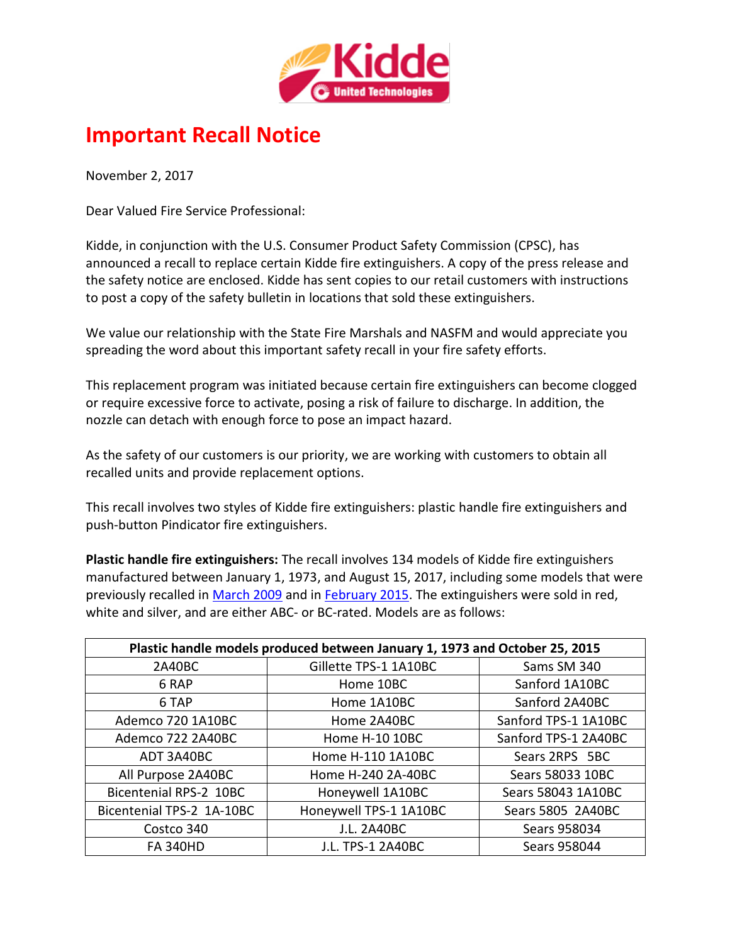

## **Important Recall Notice**

November 2, 2017

Dear Valued Fire Service Professional:

Kidde, in conjunction with the U.S. Consumer Product Safety Commission (CPSC), has announced a recall to replace certain Kidde fire extinguishers. A copy of the press release and the safety notice are enclosed. Kidde has sent copies to our retail customers with instructions to post a copy of the safety bulletin in locations that sold these extinguishers.

We value our relationship with the State Fire Marshals and NASFM and would appreciate you spreading the word about this important safety recall in your fire safety efforts.

This replacement program was initiated because certain fire extinguishers can become clogged or require excessive force to activate, posing a risk of failure to discharge. In addition, the nozzle can detach with enough force to pose an impact hazard.

As the safety of our customers is our priority, we are working with customers to obtain all recalled units and provide replacement options.

This recall involves two styles of Kidde fire extinguishers: plastic handle fire extinguishers and push-button Pindicator fire extinguishers.

**Plastic handle fire extinguishers:** The recall involves 134 models of Kidde fire extinguishers manufactured between January 1, 1973, and August 15, 2017, including some models that were previously recalled in [March 2009](https://www.cpsc.gov/recalls/2009/kidde-recalls-to-replace-fire-extinguishers-due-to-failure-to-operate/) and in [February 2015.](https://www.cpsc.gov/recalls/2015/kidde-recalls-disposable-plastic-fire-extinguishers/) The extinguishers were sold in red, white and silver, and are either ABC- or BC-rated. Models are as follows:

| Plastic handle models produced between January 1, 1973 and October 25, 2015 |                        |                      |  |
|-----------------------------------------------------------------------------|------------------------|----------------------|--|
| <b>2A40BC</b>                                                               | Gillette TPS-1 1A10BC  | Sams SM 340          |  |
| 6 RAP                                                                       | Home 10BC              | Sanford 1A10BC       |  |
| 6 TAP                                                                       | Home 1A10BC            | Sanford 2A40BC       |  |
| Ademco 720 1A10BC                                                           | Home 2A40BC            | Sanford TPS-1 1A10BC |  |
| Ademco 722 2A40BC                                                           | Home H-10 10BC         | Sanford TPS-1 2A40BC |  |
| ADT 3A40BC                                                                  | Home H-110 1A10BC      | Sears 2RPS 5BC       |  |
| All Purpose 2A40BC                                                          | Home H-240 2A-40BC     | Sears 58033 10BC     |  |
| Bicentenial RPS-2 10BC                                                      | Honeywell 1A10BC       | Sears 58043 1A10BC   |  |
| Bicentenial TPS-2 1A-10BC                                                   | Honeywell TPS-1 1A10BC | Sears 5805 2A40BC    |  |
| Costco 340                                                                  | <b>J.L. 2A40BC</b>     | Sears 958034         |  |
| <b>FA 340HD</b>                                                             | J.L. TPS-1 2A40BC      | Sears 958044         |  |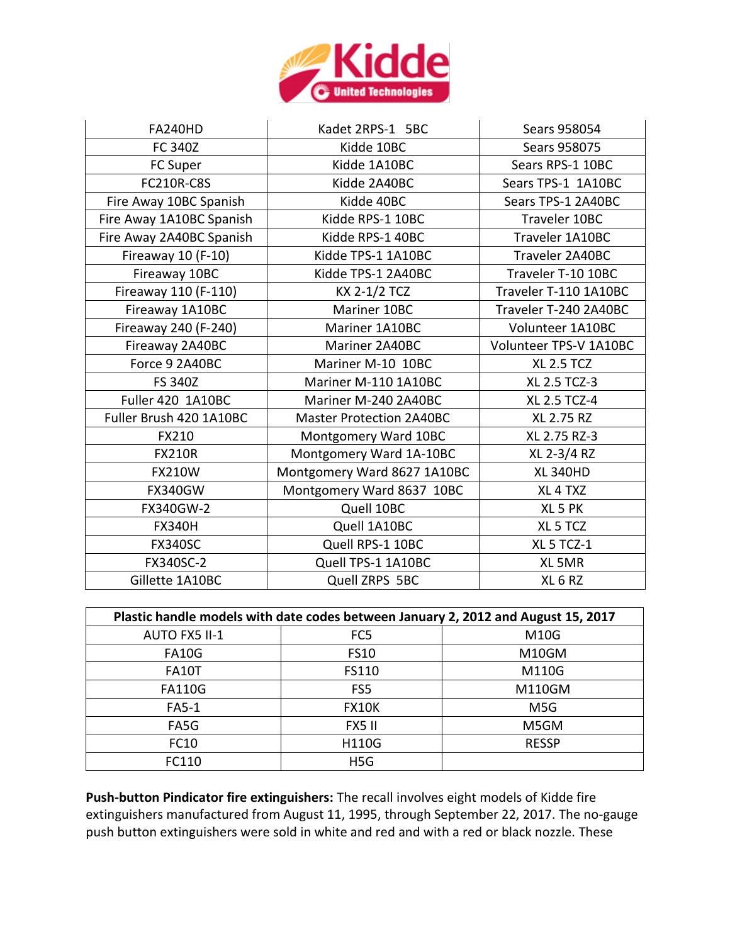

| <b>FA240HD</b>           | Kadet 2RPS-1 5BC                | Sears 958054           |  |
|--------------------------|---------------------------------|------------------------|--|
| <b>FC 340Z</b>           | Kidde 10BC                      | Sears 958075           |  |
| FC Super                 | Kidde 1A10BC                    | Sears RPS-1 10BC       |  |
| <b>FC210R-C8S</b>        | Kidde 2A40BC                    | Sears TPS-1 1A10BC     |  |
| Fire Away 10BC Spanish   | Kidde 40BC                      | Sears TPS-1 2A40BC     |  |
| Fire Away 1A10BC Spanish | Kidde RPS-1 10BC                | Traveler 10BC          |  |
| Fire Away 2A40BC Spanish | Kidde RPS-1 40BC                | Traveler 1A10BC        |  |
| Fireaway 10 (F-10)       | Kidde TPS-1 1A10BC              | Traveler 2A40BC        |  |
| Fireaway 10BC            | Kidde TPS-1 2A40BC              | Traveler T-10 10BC     |  |
| Fireaway 110 (F-110)     | KX 2-1/2 TCZ                    | Traveler T-110 1A10BC  |  |
| Fireaway 1A10BC          | Mariner 10BC                    | Traveler T-240 2A40BC  |  |
| Fireaway 240 (F-240)     | Mariner 1A10BC                  | Volunteer 1A10BC       |  |
| Fireaway 2A40BC          | Mariner 2A40BC                  | Volunteer TPS-V 1A10BC |  |
| Force 9 2A40BC           | Mariner M-10 10BC               | <b>XL 2.5 TCZ</b>      |  |
| <b>FS 340Z</b>           | Mariner M-110 1A10BC            | XL 2.5 TCZ-3           |  |
| Fuller 420 1A10BC        | Mariner M-240 2A40BC            | <b>XL 2.5 TCZ-4</b>    |  |
| Fuller Brush 420 1A10BC  | <b>Master Protection 2A40BC</b> | XL 2.75 RZ             |  |
| FX210                    | Montgomery Ward 10BC            | XL 2.75 RZ-3           |  |
| <b>FX210R</b>            | Montgomery Ward 1A-10BC         | XL 2-3/4 RZ            |  |
| <b>FX210W</b>            | Montgomery Ward 8627 1A10BC     | <b>XL 340HD</b>        |  |
| <b>FX340GW</b>           | Montgomery Ward 8637 10BC       | XL 4 TXZ               |  |
| FX340GW-2                | Quell 10BC                      | XL 5 PK                |  |
| <b>FX340H</b>            | Quell 1A10BC                    | XL 5 TCZ               |  |
| <b>FX340SC</b>           | Quell RPS-1 10BC                | XL 5 TCZ-1             |  |
| FX340SC-2                | Quell TPS-1 1A10BC              | XL 5MR                 |  |
| Gillette 1A10BC          | Quell ZRPS 5BC                  | XL <sub>6</sub> RZ     |  |

| Plastic handle models with date codes between January 2, 2012 and August 15, 2017 |                  |                  |  |
|-----------------------------------------------------------------------------------|------------------|------------------|--|
| AUTO FX5 II-1                                                                     | FC <sub>5</sub>  | <b>M10G</b>      |  |
| <b>FA10G</b>                                                                      | <b>FS10</b>      | M10GM            |  |
| <b>FA10T</b>                                                                      | FS110            | M110G            |  |
| <b>FA110G</b>                                                                     | FS <sub>5</sub>  | M110GM           |  |
| <b>FA5-1</b>                                                                      | <b>FX10K</b>     | M <sub>5</sub> G |  |
| FA5G                                                                              | FX5 II           | M5GM             |  |
| FC10                                                                              | H110G            | <b>RESSP</b>     |  |
| FC110                                                                             | H <sub>5</sub> G |                  |  |

**Push-button Pindicator fire extinguishers:** The recall involves eight models of Kidde fire extinguishers manufactured from August 11, 1995, through September 22, 2017. The no-gauge push button extinguishers were sold in white and red and with a red or black nozzle. These